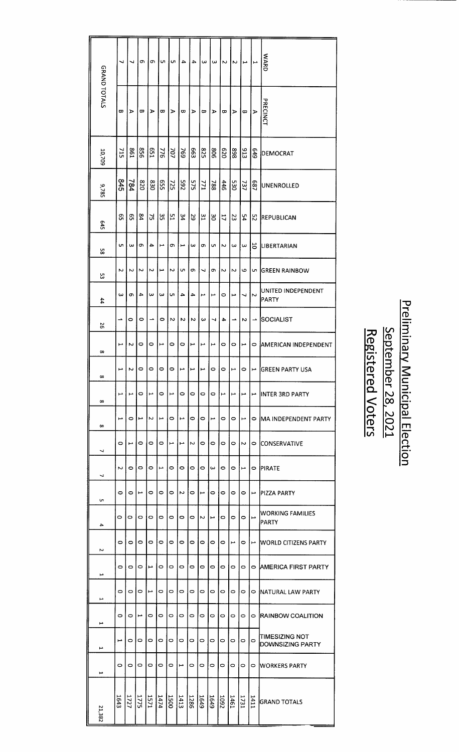|              | ↵                        | ┙                                                                                                           | c                        | თ           | C         | Ō,        | 4                        | 4       | ω                        | ω       | $\overline{\mathsf{c}}$ | Z                     | ∣⊶                                            | $\overline{a}$   | <b>WARD</b>                               |
|--------------|--------------------------|-------------------------------------------------------------------------------------------------------------|--------------------------|-------------|-----------|-----------|--------------------------|---------|--------------------------|---------|-------------------------|-----------------------|-----------------------------------------------|------------------|-------------------------------------------|
| GRAND TOTALS | œ                        | ⋗                                                                                                           | œ                        | ১           | œ         | ১         | $\boldsymbol{\varpi}$    | ъ       | œ                        | ⋗       | œ                       | ъ                     | æ                                             | $\triangleright$ | PRECINCT                                  |
| 10,709       | 715                      | I98                                                                                                         | 958                      | <b>LS9</b>  | 776       | 707       | 769                      | 663     | <b>825</b>               | 908     | 0Z9                     | 868                   | 513                                           | 649              | DEMOCRAT                                  |
| 9,785        | <b>S45</b>               | 784                                                                                                         | 0Z8                      | 023         | 559       | 725       | 265                      | 575     | <b>771</b>               | 788     | <b>446</b>              | 530                   | 737                                           | <b>687</b>       | UNENROLLED                                |
| 545          | ၛၟ                       | ၛၟ                                                                                                          | $\overline{\mathbf{z}}$  | ΣÎ          | ς,        | 51        | 34                       | 29      | $\frac{2}{3}$            | မွ      | $\mathfrak{a}$          | 23                    | 54                                            | $\mathfrak{L}$   | REPUBLICAN                                |
| S.           | CΠ.                      | ω                                                                                                           | c                        | 4           | ⊢         | œ         | L                        | ω       | c                        | G,      | Z                       | $\omega$              | ω                                             | 5                | <b>LIBERTARIAN</b>                        |
| င္ယ          | Z                        | Ν                                                                                                           | Z                        | 2           | L         | Z         | Ųπ,                      | ω       | ┙                        | o       | $\sim$                  | Z                     | 6                                             | c                | <b>GREEN RAINBOW</b>                      |
| 44           | ω                        | c                                                                                                           | 4                        | ω           | ω         | <b>Cn</b> | 4                        | 4       | مبر                      | H       | 0                       | L                     | ┙                                             | Z                | UNITED INDEPENDENT<br>PARTY               |
| 56           | ∸                        | 0                                                                                                           | o                        |             | $\bullet$ | N         | N                        | N       | ω                        | ↵       | 4                       | ∸                     | N                                             | ∸                | SOCIALIST                                 |
| $\infty$     | مر                       | Ν                                                                                                           | 0                        | 0           | L         | $\circ$   | O                        | L       | L                        | Ţ       | $\circ$                 | 0                     | L                                             | 0                | AMERICAN INDEPENDENT                      |
| $\infty$     | Ĺ                        | $\sim$                                                                                                      | lO.                      | 0           | 0         | 0         | $\overline{\phantom{a}}$ | F       | ∣⊢                       | $\circ$ | $\circ$                 | Ļ                     | lO.                                           |                  | ⊢  GREEN PARTY USA                        |
| $\infty$     | د                        | L                                                                                                           | O                        | همو         | $\circ$   | هبر       | O                        | $\circ$ | $\circ$                  | $\circ$ | $\blacktriangleright$   | Ļ                     | L                                             |                  | $\mapsto$ INTER 3RD PARTY                 |
| $\infty$     | $\overline{\phantom{a}}$ | 0                                                                                                           | L                        | N           | L         | 0         | L                        | 0       | 0                        | ī       | $\circ$                 | 0                     | $\blacksquare$                                | $\circ$          | IMA INDEPENDENT PARTY                     |
| ┙            | $\circ$                  | مسو                                                                                                         | $\circ$                  | O           | $\circ$   | Ē         | L                        | Z       | $\circ$                  | $\circ$ | $\circ$                 | $\circ$               | $\sim$                                        | $\circ$          | <b>ICONSERVATIVE</b>                      |
| ┙            | Z                        | 0                                                                                                           | $\circ$                  | 0           | Ł         | $\circ$   | $\circ$                  | $\circ$ | $\circ$                  | ω       | $\circ$                 | $\circ$               | $\overline{\phantom{a}}$                      | $\circ$          | <b>IPIRATE</b>                            |
| UТ.          | $\circ$                  | $\circ$                                                                                                     | $\overline{\phantom{a}}$ | 0           | $\circ$   | $\circ$   | Z                        | $\circ$ | $\overline{\phantom{a}}$ | $\circ$ | $\circ$                 | $\circ$               | $\circ$                                       | Ţ                | <b>PIZZA PARTY</b>                        |
| 4            | $\circ$                  | $\circ$                                                                                                     | $\circ$                  | $\circ$     | $\circ$   | $\circ$   | $\circ$                  | $\circ$ | $\sim$                   | L       | $\circ$                 | 0                     | $\circ$                                       | L                | <b>WORKING FAMILIES</b><br>PARTY          |
| Z            | $\circ$                  | $\circ$                                                                                                     | $\circ$                  | $\circ$     | $\circ$   | $\circ$   | 0                        | $\circ$ | $\circ$                  | $\circ$ | $\circ$                 | $\blacktriangleright$ | $\circ$                                       |                  | $\mapsto$ WORLD CITIZENS PARTY            |
| L            | $\circ$                  | $\circ$                                                                                                     | 0                        | مبر         | ۰         | O         | O                        | $\circ$ | $\circ$                  | $\circ$ | $\circ$                 | $\circ$               | $\circ$                                       |                  | ○ IAMERICA FIRST PARTY                    |
| Ľ            | $\circ$                  | $\circ$                                                                                                     | 0                        | нA.         | $\circ$   | $\circ$   | $\circ$                  | $\circ$ | $\circ$                  | $\circ$ | $\circ$                 | $\circ$               | $\circ$                                       |                  | $\circ$ INATURAL LAW PARTY                |
| مم           | $\circ$                  | $\circ$                                                                                                     | Ţ                        | 0           | 0         | $\circ$   | 0                        | $\circ$ | $\circ$                  | 0       | $\circ$                 | $\circ$               | $\circ$                                       | $\circ$          | <b>RAINBOW COALITION</b>                  |
| H            | $\overline{\phantom{0}}$ | $\circ$                                                                                                     | $\circ$                  | $\circ$     | $\circ$   | $\circ$   | $\circ$                  | O       | $\circ$                  | $\circ$ | $\circ$                 | $\circ$               | $\circ$                                       | $\circ$          | <b>TIMESIZING NOT</b><br>DOWNSIZING PARTY |
| د            | $\circ$                  | $\circ$                                                                                                     | $\circ$                  | $\circ$     | $\circ$   | $\circ$   | ھىۋ                      | $\circ$ | $\circ$                  | $\circ$ | $\circ$                 | $\circ$               | $\circ$                                       | $\circ$          | <b>IWORKERS PARTY</b>                     |
| 21,382       |                          | $\frac{168}{128}$ $\frac{128}{128}$ $\frac{128}{128}$ $\frac{128}{128}$ $\frac{128}{128}$ $\frac{128}{128}$ |                          | $ \vec{v} $ |           |           |                          |         |                          |         |                         |                       | $\frac{\frac{1411}{1731}}{\frac{1461}{1092}}$ | $\frac{1}{4}$    | <b>GRAND TOTALS</b>                       |

# Preliminary Municipal Election<br>September 28, 2021<br>Registered Voters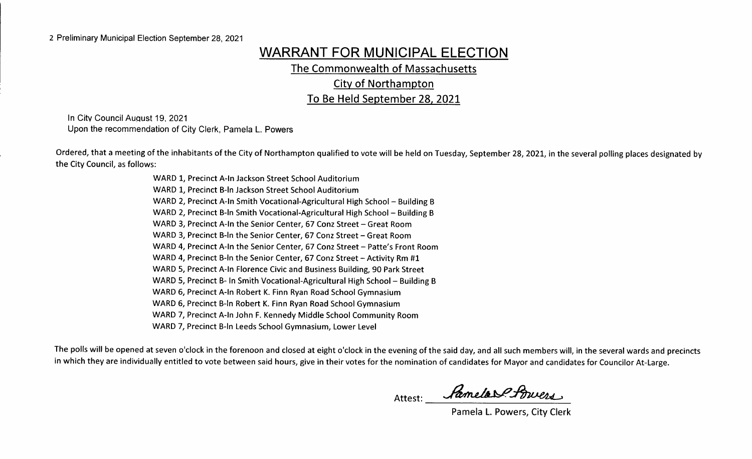# WARRANT FOR MUNICIPAL ELECTION

The Commonwealth of Massachusetts

City of Northampton

To Be Held September 28, 2021

In City Council August 19, 2021 Upon the recommendation of City Clerk, Pamela L. Powers

Ordered, that <sup>a</sup> meeting of the inhabitants of the City of Northampton qualified to vote will be held on Tuesday, September 28, 2021, in the several polling places designated by the City Council, as follows:

> WARD 1, Precinct A-In Jackson Street School Auditorium WARD 1, Precinct B-In Jackson Street School Auditorium WARD 2, Precinct A-In Smith Vocational-Agricultural High School - Building B WARD 2, Precinct B-In Smith Vocational-Agricultural High School - Building B WARD 3, Precinct A-In the Senior Center, 67 Conz Street - Great Room WARD 3, Precinct B-In the Senior Center, 67 Conz Street - Great Room WARD 4, Precinct A-In the Senior Center, 67 Conz Street - Patte's Front Room WARD 4, Precinct B-In the Senior Center, 67 Conz Street - Activity Rm #1 WARD 5, Precinct A-In Florence Civic and Business Building, 90 Park Street WARD 5, Precinct B- In Smith Vocational-Agricultural High School - Building B WARD 6, Precinct A-In Robert K. Finn Ryan Road School Gymnasium WARD 6, Precinct B-In Robert K. Finn Ryan Road School Gymnasium WARD 7, Precinct A-In John F. Kennedy Middle School Community Room WARD 7, Precinct B-In Leeds School Gymnasium, Lower Level

The polls will be opened at seven o' clock in the forenoon and closed at eight o' clock in the evening of the said day, and all such members will, in the several wards and precincts in which they are individually entitled to vote between said hours, give in their votes for the nomination of candidates for Mayor and candidates for Councilor At-Large.

Attest: Ramela Pfouers

Pamela L. Powers, City Clerk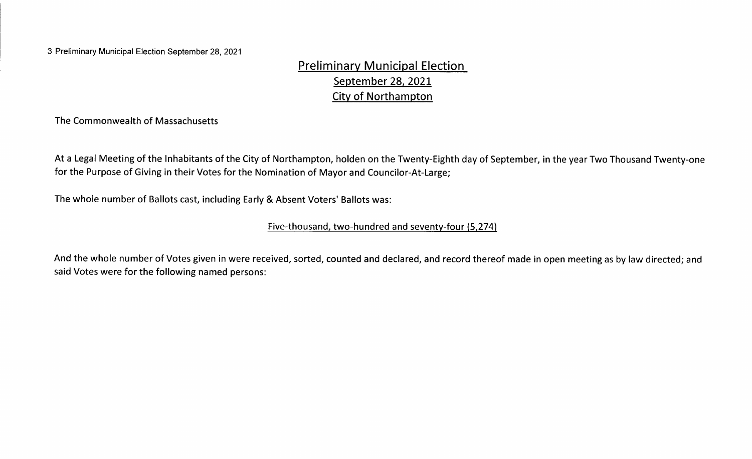3 Preliminary Municipal Election September 28, 2021

Preliminary Municipal Election September 28, 2021 City of Northampton

The Commonwealth of Massachusetts

At a Legal Meeting of the Inhabitants of the City of Northampton, holden on the Twenty-Eighth day of September, in the year Two Thousand Twenty-one for the Purpose of Giving in their Votes for the Nomination of Mayor and Councilor-At-Large;

The whole number of Ballots cast, including Early & Absent Voters' Ballots was:

### Five-thousand, two-hundred and seventy-four (5,274)

And the whole number of Votes given in were received, sorted, counted and declared, and record thereof made in open meeting as by law directed; and said Votes were for the following named persons: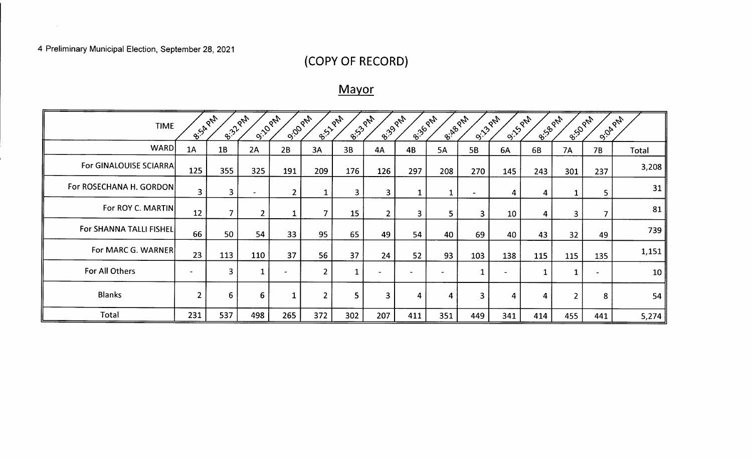# 4 Preliminary Municipal Election, September 28, 2021

 $\mathcal{L}^{\text{max}}_{\text{max}}$ 

# COPY OF RECORD)

# **Mayor**

| B-Salph<br>E.322PM<br><b>9.10 PM</b><br><b>9.00 PM</b><br>E.133 PM<br>8:39 PM<br>B. 12 PM<br>8:36 PM<br><b>9.13-224</b><br><b>B-S-D</b> PM<br>B-I-RB PM<br><b>9.150 PM</b><br><b>E-10 PM</b><br>9.04.2N<br><b>TIME</b> |                |                |                |              |                |              |                          |                |                          |                |                          |                |                |     |       |
|------------------------------------------------------------------------------------------------------------------------------------------------------------------------------------------------------------------------|----------------|----------------|----------------|--------------|----------------|--------------|--------------------------|----------------|--------------------------|----------------|--------------------------|----------------|----------------|-----|-------|
| WARD                                                                                                                                                                                                                   | 1A             | 1B             | 2A             | 2B           | 3A             | 3B           | 4A                       | 4B             | <b>5A</b>                | 5B             | 6A                       | 6B             | <b>7A</b>      | 7B  | Total |
| For GINALOUISE SCIARRA                                                                                                                                                                                                 | 125            | 355            | 325            | 191          | 209            | 176          | 126                      | 297            | 208                      | 270            | 145                      | 243            | 301            | 237 | 3,208 |
| For ROSECHANA H. GORDON                                                                                                                                                                                                | $\overline{3}$ | 3 <sup>1</sup> | $\blacksquare$ | 2            |                | $\mathbf{3}$ | $\mathbf{3}$             |                | $\mathbf{1}$             | $\blacksquare$ | 4                        | $\overline{4}$ |                | 5.  | 31    |
| For ROY C. MARTIN                                                                                                                                                                                                      | 12             | $\overline{7}$ | $\overline{2}$ |              | $\mathbf{r}$   | 15           | $\overline{2}$           | $\overline{3}$ | 5                        | $\overline{3}$ | 10                       | $\overline{4}$ | $\overline{3}$ | 7   | 81    |
| For SHANNA TALLI FISHEL                                                                                                                                                                                                | 66             | 50             | 54             | 33           | 95             | 65           | 49                       | 54             | 40                       | 69             | 40                       | 43             | 32             | 49  | 739   |
| For MARC G. WARNER                                                                                                                                                                                                     | 23             | 113            | 110            | 37           | 56             | 37           | 24                       | 52             | 93                       | 103            | 138                      | 115            | 115            | 135 | 1,151 |
| For All Others                                                                                                                                                                                                         | $\sim$         | 3              | $\mathbf{1}$   | $\bullet$    | $\overline{2}$ | 1            | $\overline{\phantom{a}}$ | $\sim$         | $\overline{\phantom{a}}$ | 1              | $\overline{\phantom{0}}$ |                |                |     | 10    |
| <b>Blanks</b>                                                                                                                                                                                                          | $\overline{2}$ | 6              | 6              | $\mathbf{1}$ | $\overline{2}$ | 5            | $\overline{3}$           | 4              | 4                        | 3              | 4                        | $\overline{4}$ | $\overline{2}$ | 8   | 54    |
| Total                                                                                                                                                                                                                  | 231            | 537            | 498            | 265          | 372            | 302          | 207                      | 411            | 351                      | 449            | 341                      | 414            | 455            | 441 | 5,274 |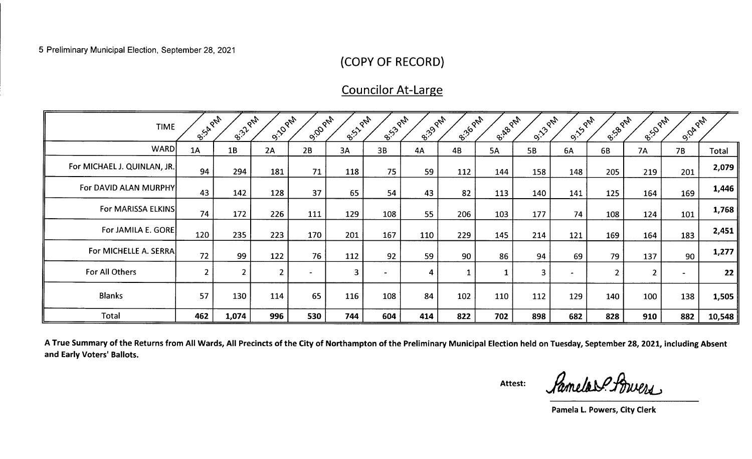# COPY OF RECORD)

# Councilor At-Large

| <b>TIME</b>                 | 8:54 PM        | 8:32 PM        | <b>9:10 PM</b> | 9:00 PM | B-131 PM | B-ISJ PAT | 8:39 PM        | 8:36 PM | B-I-RB PM | <b>9:13-PM</b> | <b>9:15-PAM</b> | B-138 PM       | <b>B.</b> SOPA | 9.04 PM |        |
|-----------------------------|----------------|----------------|----------------|---------|----------|-----------|----------------|---------|-----------|----------------|-----------------|----------------|----------------|---------|--------|
| WARD                        | 1A             | 1B             | 2A             | 2B      | 3A       | 3B        | 4A             | 4B      | 5A        | 5B             | 6A              | 6B             | <b>7A</b>      | 7B      | Total  |
| For MICHAEL J. QUINLAN, JR. | 94             | 294            | 181            | 71      | 118      | 75        | 59             | 112     | 144       | 158            | 148             | 205            | 219            | 201     | 2,079  |
| For DAVID ALAN MURPHY       | 43             | 142            | 128            | 37      | 65       | 54        | 43             | 82      | 113       | 140            | 141             | 125            | 164            | 169     | 1,446  |
| For MARISSA ELKINS          | 74             | 172            | 226            | 111     | 129      | 108       | 55             | 206     | 103       | 177            | 74              | 108            | 124            | 101     | 1,768  |
| For JAMILA E. GORE          | 120            | 235            | 223            | 170     | 201      | 167       | 110            | 229     | 145       | 214            | 121             | 169            | 164            | 183     | 2,451  |
| For MICHELLE A. SERRA       | 72             | 99             | 122            | 76      | 112      | 92        | 59             | 90      | 86        | 94             | 69              | 79             | 137            | 90      | 1,277  |
| For All Others              | $\overline{2}$ | $\overline{2}$ |                |         | 3        |           | $\overline{4}$ |         |           | $\mathbf{3}$   |                 | $\overline{2}$ |                |         | 22     |
| <b>Blanks</b>               | 57             | 130            | 114            | 65      | 116      | 108       | 84             | 102     | 110       | 112            | 129             | 140            | 100            | 138     | 1,505  |
| <b>Total</b>                | 462            | 1,074          | 996            | 530     | 744      | 604       | 414            | 822     | 702       | 898            | 682             | 828            | 910            | 882     | 10,548 |

A True Summary of the Returns from All Wards, All Precincts of the City of Northampton of the Preliminary Municipal Election held on Tuesday, September 28, 2021, including Absent and Early Voters' Ballots.

Attest: **Samelos Buers** 

Pamela L. Powers, City Clerk